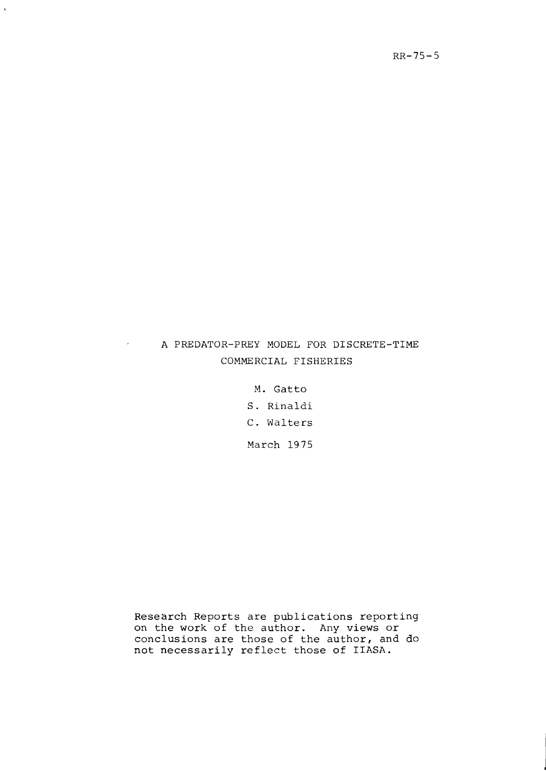# A PREDATOR-PREY MODEL FOR DISCRETE-TIME COMMERCIAL FISHERIES

M. Gatto S. Rinaldi C. Walters March 1975

Research Reports are publications reporting on the work of the author. Any views or conclusions are those of the author, and do not necessarily reflect those of IIASA.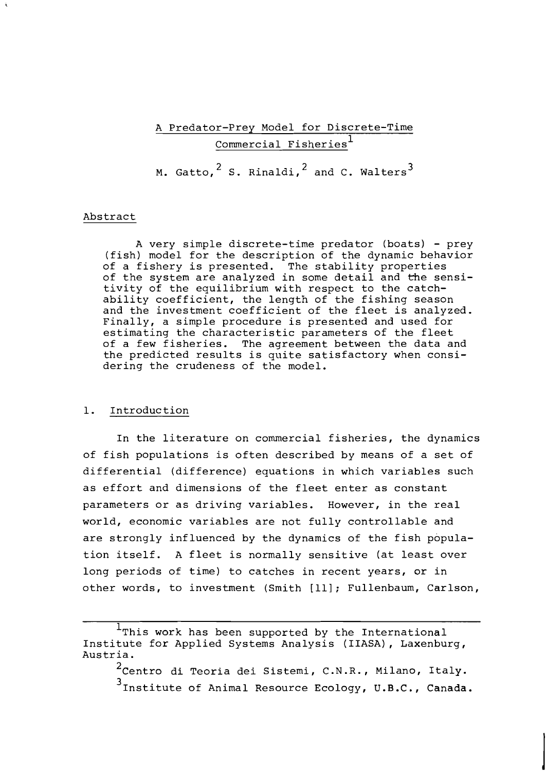A Predator-Prey Model for Discrete-Time Commercial Fisheries<sup>1</sup> M. Gatto,  $^2$  S. Rinaldi,  $^2$  and C. Walters<sup>3</sup>

### Abstract

A very simple discrete-time predator (boats) - prey (fish) model for the description of the dynamic behavior of a fishery is presented. The stability properties of the system are analyzed in some detail and the sensitivity of the equilibrium with respect to the catchability coefficient, the length of the fishing season and the investment coefficient of the fleet is analyzed. Finally, a simple procedure is presented and used for estimating the characteristic parameters of the fleet of a few fisheries. The agreement between the data and the predicted results is quite satisfactory when considering the crudeness of the model.

# 1. Introduction

In the literature on commercial fisheries, the dynamics of fish populations is often described by means of a set of differential (difference) equations in which variables such as effort and dimensions of the fleet enter as constant parameters or as driving variables. However, in the real world, economic variables are not fully controllable and are strongly influenced by the dynamics of the fish population itself. A fleet is normally sensitive (at least over long periods of time) to catches in recent years, or in other words, to investment (Smith [ll]; Fullenbaum, Carlson,

 $2$ Centro di Teoria dei Sistemi, C.N.R., Milano, Italy. <sup>3</sup>Institute of Animal Resource Ecology, U.B.C., Canada.

 $1$ This work has been supported by the International Institute for Applied Systems Analysis (IIASA) , Laxenburg, Austria.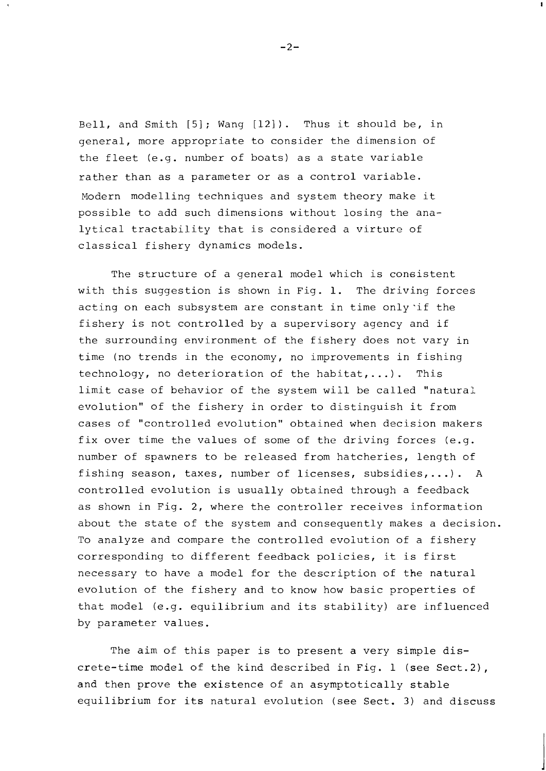Bell, and Smith [5]; Wang [12]). Thus it should be, in general, more appropriate to consider the dimension of the fleet (e.g. number of boats) as a state variable rather than as a parameter or as a control variable. Modern modelling techniques and system theory make it possible to add such dimensions without losing the analytical tractability that is considered a virture of classical fishery dynamics models.

The structure of a general model which is consistent with this suggestion is shown in Fig. 1. The driving forces acting on each subsystem are constant in time only'if the fishery is not controlled by a supervisory agency and if the surrounding environment of the fishery does not vary in time (no trends in the economy, no improvements in fishing technology, no deterioration of the habitat,...). This limit case of behavior of the system will be called "natural evolution" of the fishery in order to distinguish it from cases of "controlled evolution" obtained when decision makers fix over time the values of some of the driving forces (e.g. number of spawners to be released from hatcheries, length of fishing season, taxes, number of licenses, subsidies,...). A controlled evolution is usually obtained through a feedback as shown in Fig. 2, where the controller receives information about the state of the system and consequently makes a decision. To analyze and compare the controlled evolution of a fishery corresponding to different feedback policies, it is first necessary to have a model for the description of the natural evolution of the fishery and to know how basic properties of that model (e.g. equilibrium and its stability) are influenced by parameter values.

The aim of this paper is to present a very simple discrete-time model of the kind described in Fig. 1 (see Sect.2), and then prove the existence of an asymptotically stable equilibrium for its natural evolution (see Sect. **3)** and discuss

 $-2-$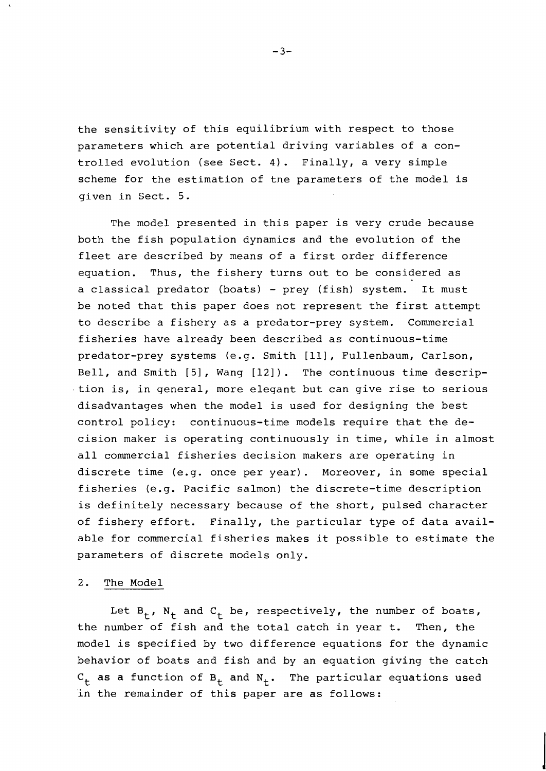the sensitivity of this equilibrium with respect to those parameters which are potential driving variables of a controlled evolution (see Sect. 4). Finally, a very simple scheme for the estimation of tne parameters of the model is given in Sect. 5.

The model presented in this paper is very crude because both the fish population dynamics and the evolution of the fleet are described by means of a first order difference equation. Thus, the fishery turns out to be considered as a classical predator (boats) - prey (fish) system. It must be noted that this paper does not represent the first attempt to describe a fishery as a predator-prey system. Commercial fisheries have already been described as continuous-time predator-prey systems (e.g. Smith [ill, Fullenbaum, Carlson, Bell, and Smith [5], Wang [12]). The continuous time description is, in general, more elegant but can give rise to serious disadvantages when the model is used for designing the best control policy: continuous-time models require that the decision maker is operating continuously in time, while in almost all commercial fisheries decision makers are operating in discrete time (e.g. once per year). Moreover, in some special fisheries (e.g. Pacific salmon) the discrete-time description is definitely necessary because of the short, pulsed character of fishery effort. Finally, the particular type of data available for commercial fisheries makes it possible to estimate the parameters of discrete models only.

#### 2. The Model

Let  $B_t$ ,  $N_t$  and  $C_t$  be, respectively, the number of boats, the number of fish and the total catch in year t. Then, the model is specified by two difference equations for the dynamic behavior of boats and fish and by an equation giving the catch  $C_t$  as a function of  $B_t$  and  $N_t$ . The particular equations used in the remainder of this paper are as follows:

 $-3-$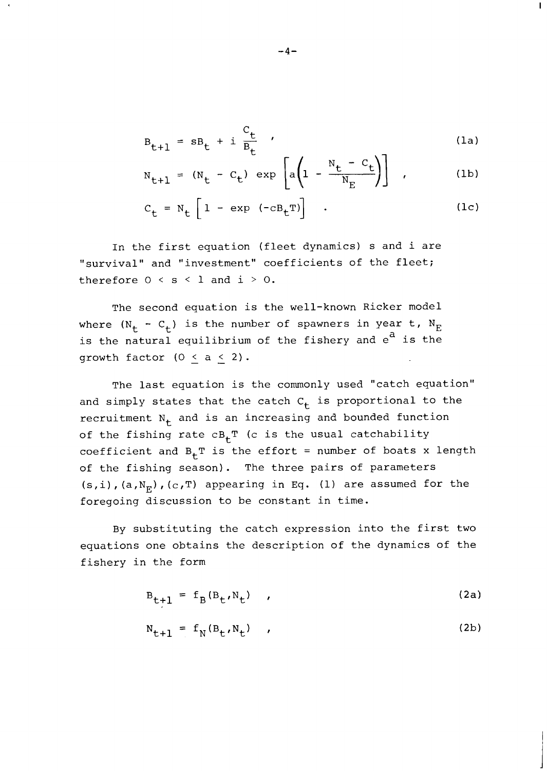$$
B_{t+1} = sB_t + i \frac{C_t}{B_t} \qquad (1a)
$$

 $\mathbf{I}$ 

$$
N_{t+1} = (N_t - C_t) \exp\left[a\left(1 - \frac{N_t - C_t}{N_E}\right)\right], \qquad (1b)
$$

$$
C_{t} = N_{t} \left[ 1 - \exp (-c B_{t}^{T}) \right] \quad . \tag{1c}
$$

In the first equation (fleet dynamics) s and i are "survival" and "investment" coefficients of the fleet; therefore  $0 < s < 1$  and  $i > 0$ .

The second equation is the well-known Ricker model where  $(N_t - C_t)$  is the number of spawners in year t,  $N_E$ is the natural equilibrium of the fishery and  $e^{a}$  is the growth factor  $(0 < a < 2)$ .

The last equation is the commonly used "catch equation" and simply states that the catch  $C_t$  is proportional to the recruitment  $N_t$  and is an increasing and bounded function of the fishing rate  $cB_tT$  (c is the usual catchability coefficient and  $B_{+}T$  is the effort = number of boats x length of the fishing season). The three pairs of parameters  $(s, i)$ ,  $(a, N_F)$ ,  $(c, T)$  appearing in Eq. (1) are assumed for the foregoing discussion to be constant in time.

By substituting the catch expression into the first two equations one obtains the description of the dynamics of the fishery in the form

$$
B_{t+1} = f_B(B_t, N_t) \qquad (2a)
$$

$$
N_{t+1} = f_N(B_t, N_t) \qquad (2b)
$$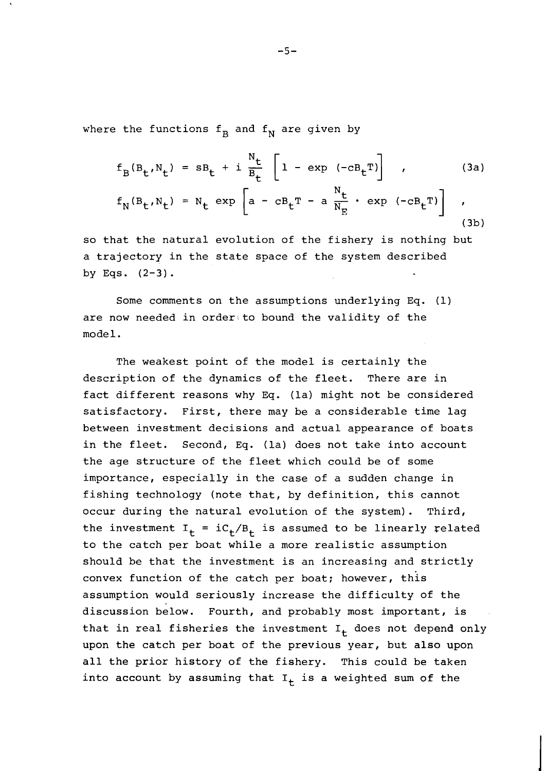where the functions  $f_B$  and  $f_N$  are given by

$$
f_B(B_t, N_t) = sB_t + i \frac{N_t}{B_t} \left[ 1 - \exp(-cB_t)^T \right], \qquad (3a)
$$

$$
f_B(B_t, N_t) = sB_t + i \frac{1}{B_t} \left[ 1 - \exp(-cB_t) \right] \qquad (3a)
$$
  

$$
f_N(B_t, N_t) = N_t \exp\left[ a - cB_t - a \frac{N_t}{N_E} \cdot \exp(-cB_t) \right] \qquad (3b)
$$

so that the natural evolution of the fishery is nothing but a trajectory in the state space of the system described by Eqs.  $(2-3)$ .

Some comments on the assumptions underlying Eq. (1) are now needed in order to bound the validity of the mode 1.

The weakest point of the model is certainly the description of the dynamics of the fleet. There are in fact different reasons why Eq. (la) might not be considered satisfactory. First, there may be a considerable time lag between investment decisions and actual appearance of boats in the fleet. Second, Eq. (la) does not take into account the age structure of the fleet which could be of some importance, especially in the case of a sudden change in fishing technology (note that, by definition, this cannot occur during the natural evolution of the system). Third, the investment  $I_t = iC_t/B_t$  is assumed to be linearly related to the catch per boat while a more realistic assumption should be that the investment is an increasing and strictly convex function of the catch per boat; however, this assumption would seriously increase the difficulty of the discussion below. Fourth, and probably most important, is that in real fisheries the investment  $I_t$  does not depend only upon the catch per boat of the previous year, but also upon all the prior history of the fishery. This could be taken into account by assuming that  $I_t$  is a weighted sum of the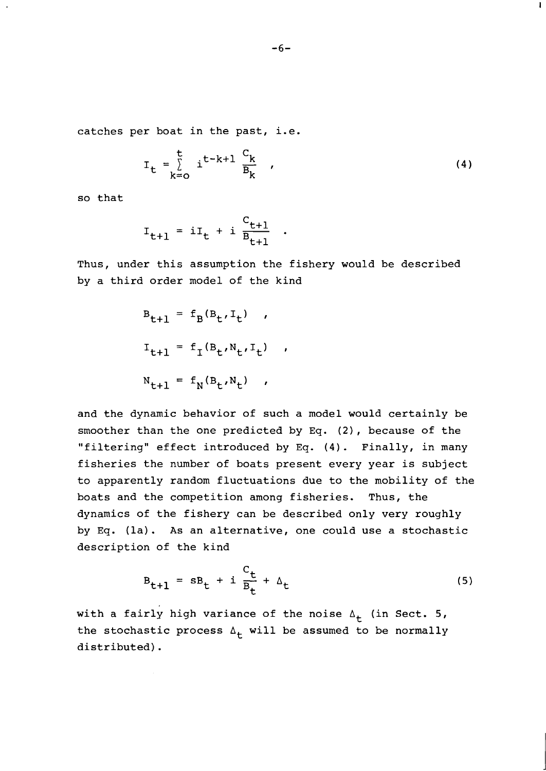catches per boat in the past, i.e.

$$
I_{t} = \sum_{k=0}^{t} i^{t-k+1} \frac{c_k}{B_k} \qquad (4)
$$

 $\mathbf{I}$ 

so that

$$
I_{t+1} = iI_t + i \frac{C_{t+1}}{B_{t+1}}
$$

Thus, under this assumption the fishery would be described by a third order model of the kind

$$
B_{t+1} = f_B(B_t, I_t) ,
$$
  
\n
$$
I_{t+1} = f_I(B_t, N_t, I_t) ,
$$
  
\n
$$
N_{t+1} = f_N(B_t, N_t) ,
$$

and the dynamic behavior of such a model would certainly be smoother than the one predicted by **Eq. (2),** because of the "filtering" effect introduced by **Eq.** (4). Finally, in many fisheries the number of boats present every year is subject to apparently random fluctuations due to the mobility of the boats and the competition among fisheries. Thus, the dynamics of the fishery can be described only very roughly by **Eq.** (la). As an alternative, one could use a stochastic description of the kind

$$
B_{t+1} = sB_t + i \frac{C_t}{B_t} + \Delta_t \tag{5}
$$

with a fairly high variance of the noise  $\Delta_{+}$  (in Sect. 5, the stochastic process  $\Delta_t$  will be assumed to be normally distributed).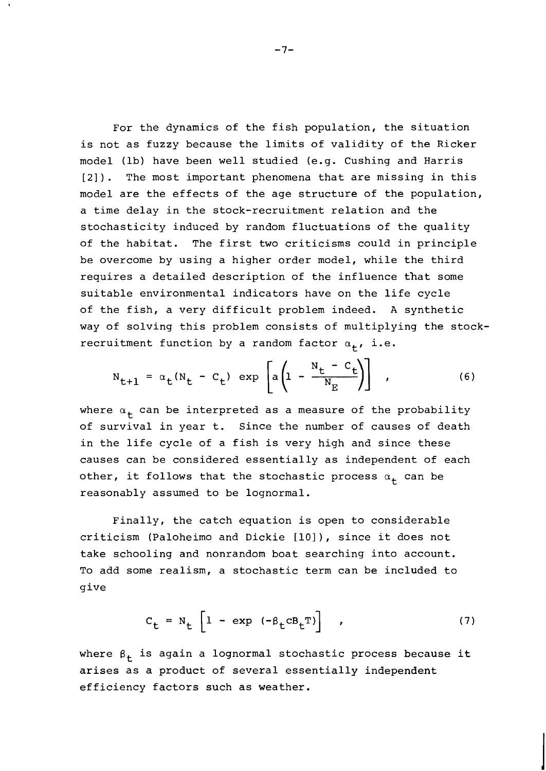For the dynamics of the fish population, the situation is not as fuzzy because the limits of validity of the Ricker model (lb) have been well studied (e.g. Cushing and Harris [2]). The most important phenomena that are missing in this model are the effects of the age structure of the population, a time delay in the stock-recruitment relation and the stochasticity induced by random fluctuations of the quality of the habitat. The first two criticisms could in principle be overcome by using a higher order model, while the third requires a detailed description of the influence that some suitable environmental indicators have on the life cycle of the fish, a very difficult problem indeed. A synthetic way of solving this problem consists of multiplying the stockrecruitment function by a random factor  $\alpha_{+}$ , i.e.

$$
N_{t+1} = \alpha_t (N_t - C_t) \exp \left[ a \left( 1 - \frac{N_t - C_t}{N_E} \right) \right], \qquad (6)
$$

where  $\alpha_t$  can be interpreted as a measure of the probability of survival in year t. Since the number of causes of death in the life cycle of a fish is very high and since these causes can be considered essentially as independent of each other, it follows that the stochastic process  $\alpha_+$  can be reasonably assumed to be lognormal.

Finally, the catch equation is open to considerable criticism (Paloheimo and Dickie [lo]), since it does not take schooling and nonrandom boat searching into account. To add some realism, a stochastic term can be included to give

$$
C_{t} = N_{t} \left[ 1 - \exp \left( -\beta_{t} \mathbf{C} \mathbf{B}_{t}^{T} \right) \right] \qquad (7)
$$

where  $\beta_t$  is again a lognormal stochastic process because it arises as a product of several essentially independent efficiency factors such as weather.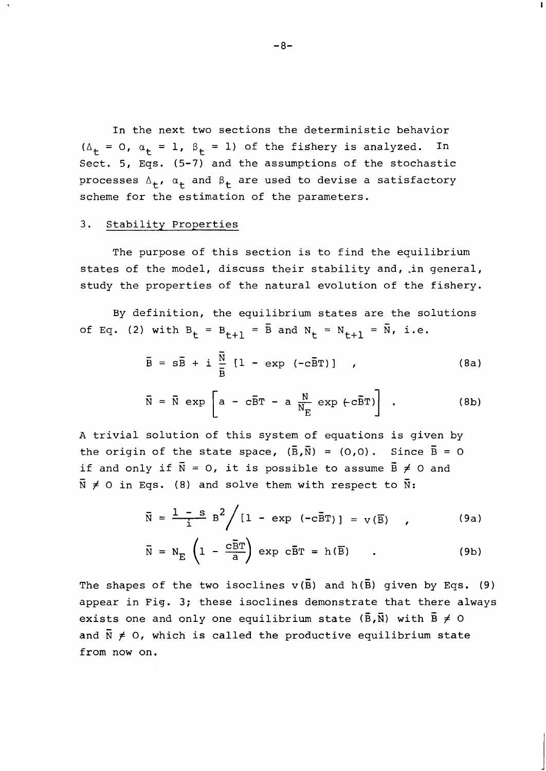In the next two sections the deterministic behavior ( $\Delta_t$  = 0,  $\alpha_t$  = 1,  $\beta_t$  = 1) of the fishery is analyzed. Sect. 5, Eqs. (5-7) and the assumptions of the stochastic processes  $\Delta_{+}$ ,  $\alpha_{+}$  and  $\beta_{+}$  are used to devise a satisfactory scheme for the estimation of the parameters.

### 3. Stability Properties

The purpose of this section is to find the equilibrium states of the model, discuss their stability and, in general, study the properties of the natural evolution of the fishery.

By definition, the equilibrium states are the solutions  $\overline{S}$ of Eq. (2) with  $B_t = B_{t+1} = \bar{B}$  and  $N_t = N_{t+1} = \bar{N}$ , i.e.

$$
\overline{B} = s\overline{B} + i \frac{\overline{N}}{\overline{B}} [1 - \exp (-c\overline{B}T)] , \qquad (8a)
$$

$$
\bar{\mathbf{N}} = \bar{\mathbf{N}} \exp\left[\mathbf{a} - c\bar{\mathbf{B}}\mathbf{T} - \mathbf{a} \frac{\mathbf{N}}{\mathbf{N}_{\mathrm{E}}} \exp\left(c\bar{\mathbf{B}}\mathbf{T}\right)\right] \quad (8b)
$$

A trivial solution of this system of equations is given by<br>the existe of the state space  $(\bar{R}, \bar{R}) = (0, 0)$ ,  $Sines, \bar{R} = 0$ the origin of the state space,  $(\overline{B}, \overline{N}) = (0,0)$ . Since  $\overline{B} = 0$ if and only if  $\bar{N} = 0$ , it is possible to assume  $\bar{B} \neq 0$  and  $\bar{N} \neq 0$  in Eqs. (8) and solve them with respect to  $\bar{N}$ :

$$
\overline{\text{N}} = \frac{1 - \text{s}}{1} \text{ B}^2 / [1 - \exp(-c\overline{\text{B}}\text{T})] = \text{v}(\overline{\text{B}}) \quad , \tag{9a}
$$

$$
\bar{N} = N_E \left( 1 - \frac{c \bar{B} T}{a} \right) \exp c \bar{B} T = h(\bar{B}) \qquad . \tag{9b}
$$

The shapes of the two isoclines  $v(\overline{B})$  and  $h(\overline{B})$  given by Eqs. (9) appear in Fig. 3; these isoclines demonstrate that there always<br>cuists are and only are equilibrium state  $(\vec{p}, \vec{w})$  with  $\vec{p} \neq 0$ exists one and only one equilibrium state  $(\overline{B}, \overline{N})$  with  $\overline{B} \neq 0$ and  $\bar{N} \neq 0$ , which is called the productive equilibrium state from now on.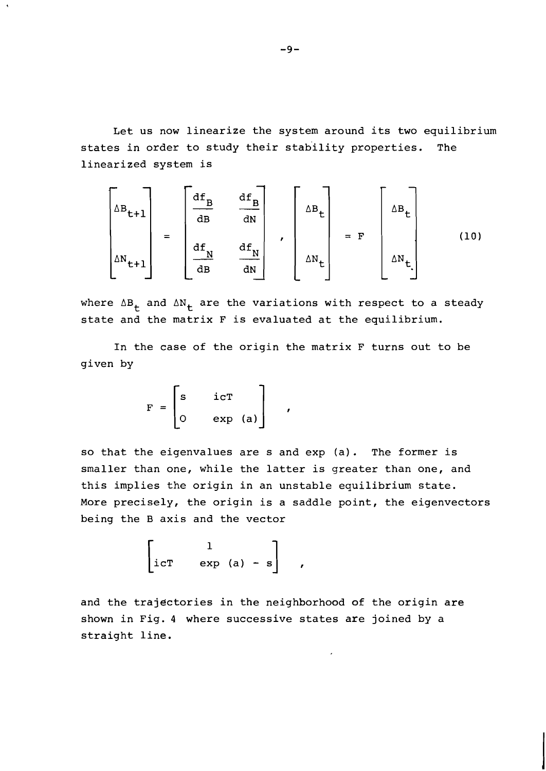Let us now linearize the system around its two equilibrium states in order to study their stability properties. The linearized system is

$$
\begin{bmatrix}\n\Delta B_{t+1} \\
\Delta N_{t+1}\n\end{bmatrix} = \begin{bmatrix}\n\frac{df_B}{dB} & \frac{df_B}{dN} \\
\frac{df_N}{dB} & \frac{df_N}{dN}\n\end{bmatrix}, \begin{bmatrix}\n\Delta B_t \\
\Delta N_t\n\end{bmatrix} = F\n\begin{bmatrix}\n\Delta B_t \\
\Delta N_t\n\end{bmatrix}
$$
\n(10)

where  $\Delta B_{+}$  and  $\Delta N_{+}$  are the variations with respect to a steady state and the matrix F is evaluated at the equilibrium.

In the case of the origin the matrix F turns out to be given by

$$
\mathbf{F} = \begin{bmatrix} \mathbf{s} & \mathbf{i}\mathbf{c}\mathbf{T} \\ 0 & \mathbf{exp} \quad (\mathbf{a}) \end{bmatrix}
$$

so that the eigenvalues are s and exp (a). The former is smaller than one, while the latter is greater than one, and this implies the origin in an unstable equilibrium state. More precisely, the origin is a saddle point, the eigenvectors being the B axis and the vector

 $\mathbf{r}$ 

$$
\begin{bmatrix} 1 \\ i cT & exp(a) - s \end{bmatrix},
$$

and the trajectories in the neighborhood of the origin are shown in Fig. 4 where successive states are joined by a straight line.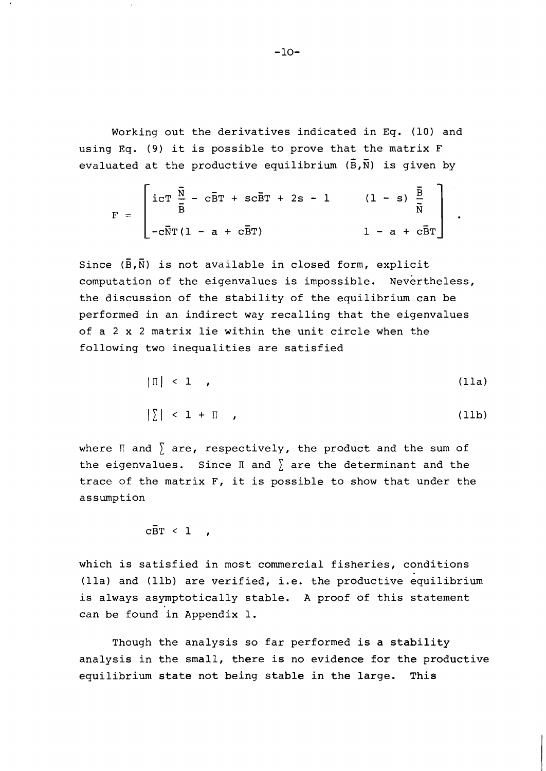Working out the derivatives indicated in Eq. (10) and using Eq. (9) it is possible to prove that the matrix  $F$ <br>and we had at the used patient consideration  $(\bar{p}, \bar{p})$  is given by evaluated at the productive equilibrium  $(\bar{\mathbf{B}},\bar{\mathbf{N}})$  is given by

$$
F = \begin{bmatrix} i cT & \frac{\overline{N}}{B} - c\overline{B}T + sc\overline{B}T + 2s - 1 & (1-s) & \frac{\overline{B}}{\overline{N}} \\ -c\overline{N}T(1 - a + c\overline{B}T) & 1 - a + c\overline{B}T \end{bmatrix}.
$$

Since  $(\bar{B}, \bar{N})$  is not available in closed form, explicit computation of the eigenvalues is impossible. Nevertheless, the discussion of the stability of the equilibrium can be performed in an indirect way recalling that the eigenvalues of a 2 x 2 matrix lie within the unit circle when the following two inequalities are satisfied

$$
|\mathbb{I}| < 1 \qquad (11a)
$$

$$
|\Sigma| < 1 + \Pi \tag{11b}
$$

where  $\mathbb I$  and  $\bar{\ }$  are, respectively, the product and the sum of the eigenvalues. Since  $\mathbb I$  and  $\sum$  are the determinant and the trace of the matrix F, it is possible to show that under the assumption

 $c\bar{B}T < 1$ ,

which is satisfied in most commercial fisheries, conditions (lla) and (llb) are verified, i.e. the productive equilibrium is always asymptotically stable. A proof of this statement can be found in Appendix 1.

Though the analysis so far performed is a stability analysis in the small, there is no evidence for the productive equilibrium state not being stable in the large. This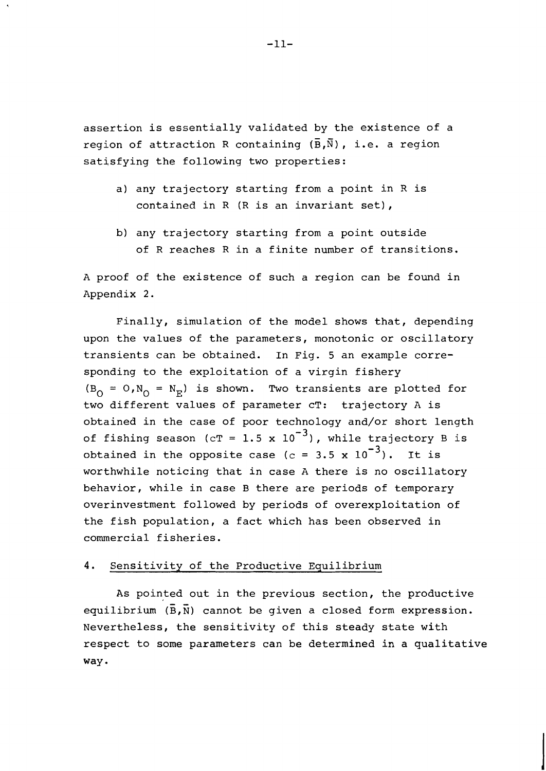assertion is essentially validated by the existence of a - region of attraction R containing  $(\overline{B},\overline{N})$ , i.e. a region satisfying the following two properties:

- a) any trajectory starting from a point in R is contained in R (R is an invariant set),
- b) any trajectory starting from a point outside of R reaches R in a finite number of transitions.

A proof of the existence of such a region can be found in Appendix 2.

Finally, simulation of the model shows that, depending upon the values of the parameters, monotonic or oscillatory transients can be obtained. In Fig. 5 an example corresponding to the exploitation of a virgin fishery  $(B_0 = 0, N_0 = N_E)$  is shown. Two transients are plotted for two different values of parameter cT: trajectory A is obtained in the case of poor technology and/or short length of fishing season (cT = 1.5 x  $10^{-3}$ ), while trajectory B is obtained in the opposite case (c = 3.5 x  $10^{-3}$ ). It is worthwhile noticing that in case A there is no oscillatory behavior, while in case B there are periods of temporary overinvestment followed by periods of overexploitation of the fish population, a fact which has been observed in commercial fisheries.

#### 4. Sensitivity of the Productive Equilibrium

As pointed out in the previous section, the productive  $(\vec{r}, \vec{w})$  cannot be viewed a placed form currential equilibrium  $(\overline{B}, \overline{N})$  cannot be given a closed form expression. Nevertheless, the sensitivity of this steady state with respect to some parameters can be determined in a qualitative way.

 $-11-$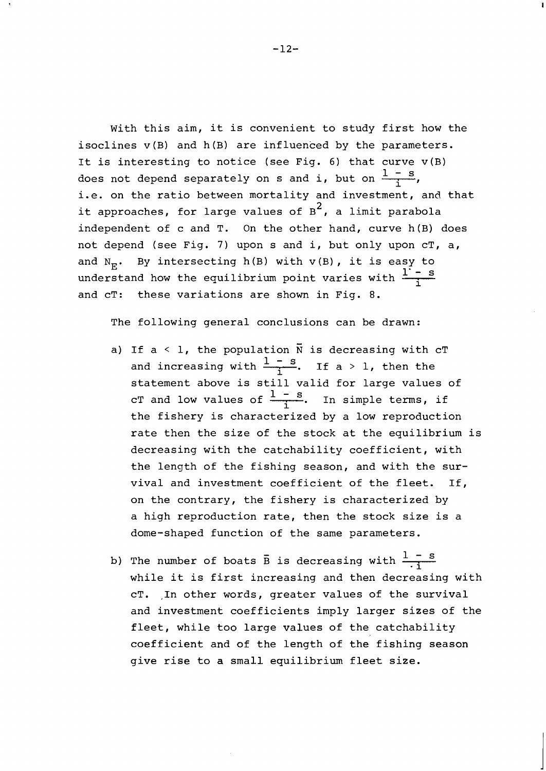With this aim, it is convenient to study first how the isoclines v(B) and h(B) are influenced by the parameters. It is interesting to notice (see Fig. 6) that curve  $v(B)$ does not depend separately on s and i, but on  $\frac{1-s}{1}$ , i.e. on the ratio between mortality and investment, and that it approaches, for large values of B<sup>2</sup>, a limit parabola independent of c and T. On the other hand, curve h(B) does not depend (see Fig. 7) upon s and i, but only upon cT, a, and  $N_F$ . By intersecting h(B) with  $v(B)$ , it is easy to understand how the equilibrium point varies with  $\frac{1}{1}$  - s and cT: these variations are shown in Fig. 8.

The following general conclusions can be drawn:

- a) If a  $\leq$  1, the population  $\overline{N}$  is decreasing with cT and increasing with  $\frac{1-s}{1}$ . If a > 1, then the statement above is still valid for large values of cT and low values of  $\frac{1-s}{1}$ . In simple terms, if the fishery is characterized by a low reproduction rate then the size of the stock at the equilibrium is decreasing with the catchability coefficient, with the length of the fishing season, and with the survival and investment coefficient of the fleet. If, on the contrary, the fishery is characterized by a high reproduction rate, then the stock size is a dome-shaped function of the same parameters.
- b) The number of boats  $\bar{B}$  is decreasing with  $\frac{1-s}{\bar{a}}$ while it is first increasing and then decreasing with cT. ,In other words, greater values of the survival and investment coefficients imply larger sizes of the fleet, while too large values of the catchability coefficient and of the length of the fishing season give rise to a small equilibrium fleet size.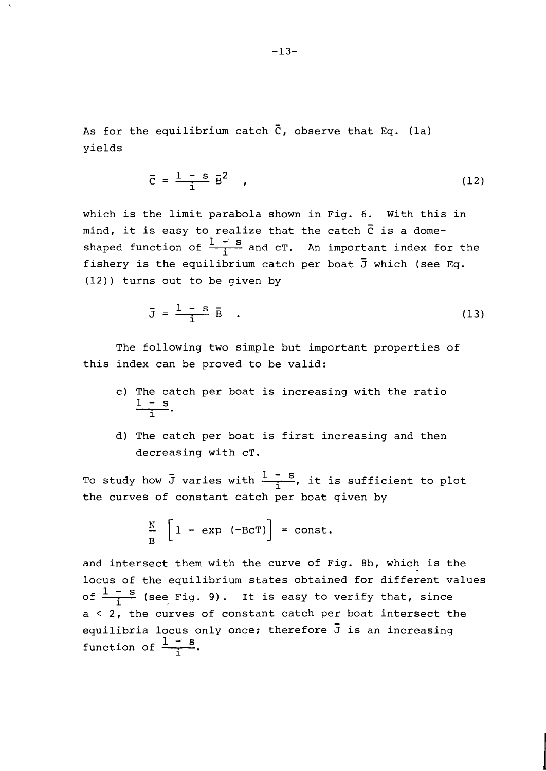As for the equilibrium catch  $\bar{C}$ , observe that Eq. (la) yields

$$
\overline{c} = \frac{1 - s}{i} \overline{B}^2 \qquad (12)
$$

which is the limit parabola shown in Fig. 6. With this in mind, it is easy to realize that the catch  $\bar{c}$  is a domeshaped function of  $\frac{1-s}{1}$  and cT. An important index for the fishery is the equilibrium catch per boat  $\bar{J}$  which (see Eq. (12) ) turns out to be given by

$$
\overline{J} = \frac{1 - s}{i} \overline{B} \quad . \tag{13}
$$

The following two simple but important properties of this index can be proved to be valid:

- c) The catch per boat is increasing.with the ratio  $\frac{1 - s}{1}$ .
- d) The catch per boat is first increasing and then decreasing with cT.

To study how  $\overline{J}$  varies with  $\frac{1-s}{1}$ , it is sufficient to plot the curves of constant catch per boat given by

$$
\frac{N}{B} \left[ 1 - \exp (-BCT) \right] = \text{const.}
$$

and intersect them with the curve of Fig. 8b, which is the locus of the equilibrium states obtained for different values  $\frac{N}{B}$   $\left[1 - \exp(-Bcf)\right] = \text{const.}$ <br>and intersect them with the curve of Fig. 8b, which is th<br>locus of the equilibrium states obtained for different va<br>of  $\frac{1 - S}{i}$  (see Fig. 9). It is easy to verify that, since<br>a < 2, the **1**  a < 2, the curves of constant catch per boat intersect the equilibria locus only once; therefore **j** is an increasing function of  $\frac{1 - s}{1}$ .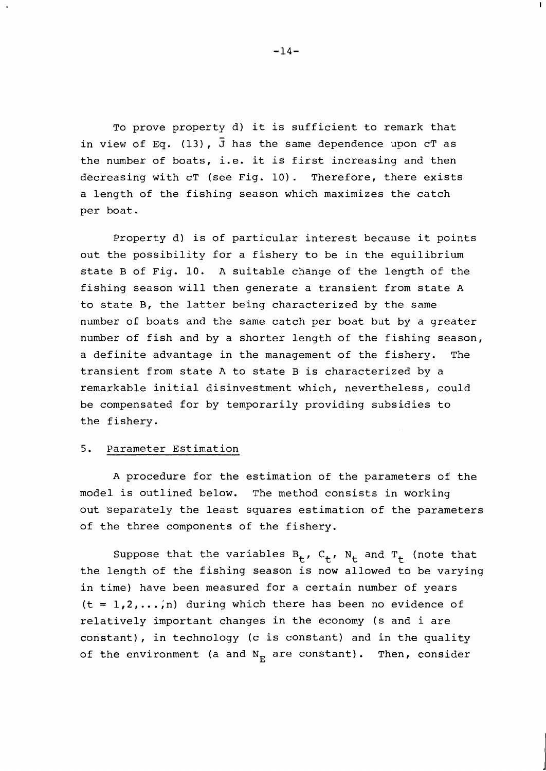TO prove property d) it is sufficient to remark that in view of Eq. (13),  $\overline{J}$  has the same dependence upon cT as the number of boats, i.e. it is first increasing and then decreasing with cT (see Fig. 10). Therefore, there exists a length of the fishing season which maximizes the catch per boat.

Property d) is of particular interest because it points out the possibility for a fishery to be in the equilibrium state B of Fig. 10. A suitable change of the length of the fishing season will then generate a transient from state A to state B, the latter being characterized by the same number of boats and the same catch per boat but by a greater number of fish and by a shorter length of the fishing season, a definite advantage in the management of the fishery. The transient from state A to state B is characterized by a remarkable initial disinvestment which, nevertheless, could be compensated for by temporarily providing subsidies to the fishery.

# 5. Parameter Estimation

A procedure for the estimation of the parameters of the model is outlined below. The method consists in working out separately the least squares estimation of the parameters of the three components of the fishery.

Suppose that the variables  $B_t$ ,  $C_t$ ,  $N_t$  and  $T_t$  (note that the length of the fishing season is now allowed to be varying in time) have been measured for a certain number of years  $(t = 1, 2, \ldots, n)$  during which there has been no evidence of relatively important changes in the economy (s and i are constant), in technology (c is constant) and in the quality of the environment (a and  $N_{E}$  are constant). Then, consider

 $-14-$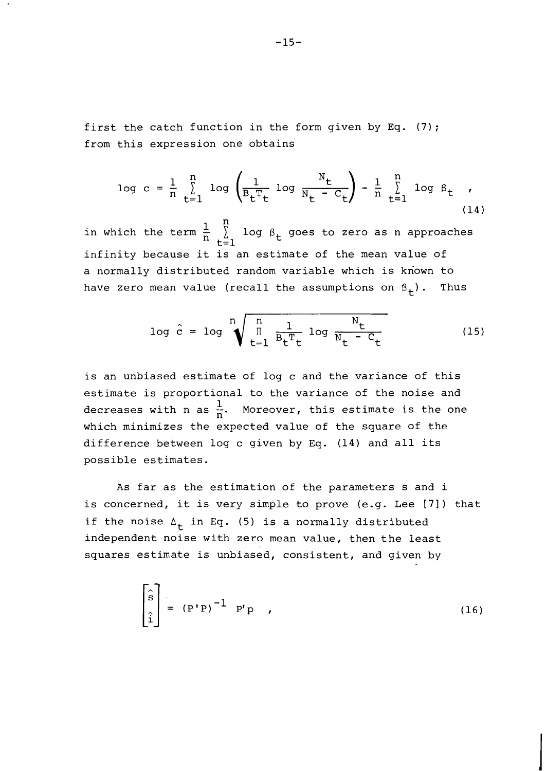first the catch function in the form given by Eq. (7); from this expression one obtains

$$
\log c = \frac{1}{n} \sum_{t=1}^{n} \log \left( \frac{1}{B_t^T t} \log \frac{N_t}{N_t - C_t} \right) - \frac{1}{n} \sum_{t=1}^{n} \log \beta_t , \qquad (14)
$$

 $1 \quad \stackrel{\text{n}}{\mathsf{r}}$ in which the term  $\frac{1}{n}$   $\sum$  log  $\beta$  goes to zero as n approaches t $\bar{=}1$ infinity because it is an estimate of the mean value of a normally distributed random variable which is known to have zero mean value (recall the assumptions on  $\beta_+$ ). Thus

$$
\log \hat{c} = \log \sqrt[n]{\frac{\ln \frac{1}{\mathbb{E}[1 - \log \frac{N_t}{N_t} - C_t]}}}
$$
(15)

is an unbiased estimate of log c and the variance of this estimate is proportional to the variance of the noise and decreases with n as  $\frac{1}{n}$ . Moreover, this estimate is the one which minimizes the expected value of the square of the difference between log c given by **Eq.** (14) and all its possible estimates.

As far as the estimation of the parameters s and i is concerned, it is very simple to prove (e.g. Lee [71) that if the noise  $\Delta_+$  in Eq. (5) is a normally distributed independent noise with zero mean value, then the least squares estimate is unbiased, consistent, and given by

$$
\begin{bmatrix} \hat{s} \\ \hat{s} \\ \hat{i} \end{bmatrix} = (P'P)^{-1} P'P , \qquad (16)
$$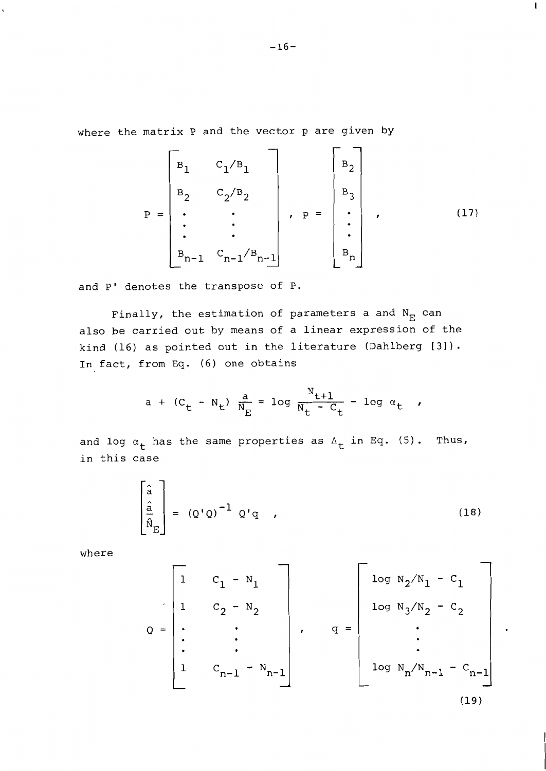where the matrix P and the vector p are given by

$$
P = \begin{bmatrix} B_{1} & C_{1}/B_{1} \\ B_{2} & C_{2}/B_{2} \\ \vdots & \vdots \\ B_{n-1} & C_{n-1}/B_{n-1} \end{bmatrix}, \quad P = \begin{bmatrix} B_{2} \\ B_{3} \\ \vdots \\ B_{n} \end{bmatrix}, \quad (17)
$$

and P' denotes the transpose of P.

Finally, the estimation of parameters a and  $N_{\overline{E}}$  can also be carried out by means of a linear expression of the kind (16) as pointed out in the literature (Dahlberg **[3]** ) . In fact, from Eq. (6) one obtains

a + (C<sub>t</sub> - N<sub>t</sub>) 
$$
\frac{a}{N_E}
$$
 = log  $\frac{N_{t+1}}{N_t - C_t}$  - log  $\alpha_t$ ,

and log  $\alpha_t$  has the same properties as  $\Delta_t$  in Eq. (5). Thus, in this case

$$
\begin{bmatrix} \hat{a} \\ \hat{a} \\ \hat{B} \\ \hat{N}_E \end{bmatrix} = (Q'Q)^{-1} Q'q \qquad (18)
$$

where

$$
Q = \begin{bmatrix} 1 & C_1 - N_1 \\ 1 & C_2 - N_2 \\ \vdots & \vdots \\ 1 & C_{n-1} - N_{n-1} \end{bmatrix}, \quad q = \begin{bmatrix} \log N_2 / N_1 - C_1 \\ \log N_3 / N_2 - C_2 \\ \vdots \\ \log N_n / N_{n-1} - C_{n-1} \end{bmatrix}
$$
\n(19)

L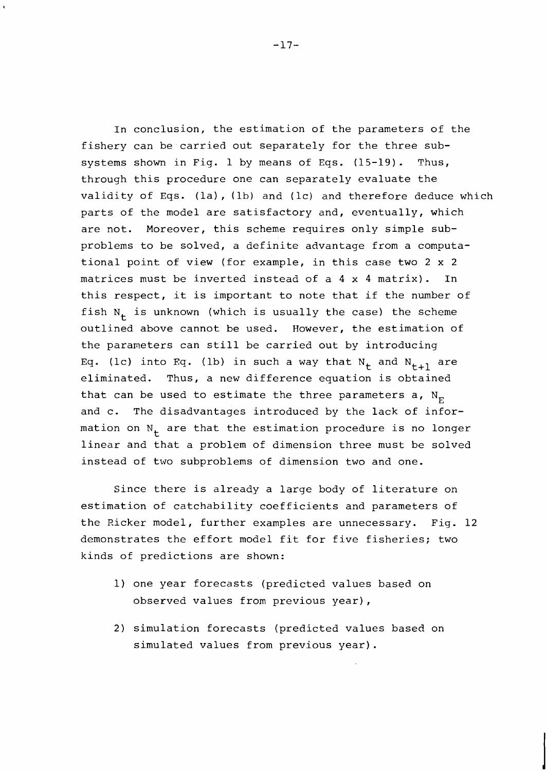In conclusion, the estimation of the parameters of the fishery can be carried out separately for the three subsystems shown in Fig. 1 by means of Eqs.  $(15-19)$ . Thus, through this procedure one can separately evaluate the validity of Eqs. (la), (lb) and (lc) and therefore deduce which parts of the model are satisfactory and, eventually, which are not. Moreover, this scheme requires only simple subproblems to be solved, a definite advantage from a computational point of view (for example, in this case two 2 x 2 matrices must be inverted instead of a 4 x 4 matrix). In this respect, it is important to note that if the number of fish  $N_t$  is unknown (which is usually the case) the scheme outlined above cannot be used. However, the estimation of the parameters can still be carried out by introducing Eq. (1c) into Eq. (1b) in such a way that  $N_t$  and  $N_{t+1}$  are eliminated. Thus, a new difference equation is obtained that can be used to estimate the three parameters a,  $N_{\rm F}$ and c. The disadvantages introduced by the lack of information on  $N_{+}$  are that the estimation procedure is no longer linear and that a problem of dimension three must be solved instead of two subproblems of dimension two and one.

Since there is already a large body of literature on estimation of catchability coefficients and parameters of the Ricker model, further examples are unnecessary. Fig. 12 demonstrates the effort model fit for five fisheries; two kinds of predictions are shown:

- 1) one year forecasts (predicted values based on observed values from previous year),
- 2) simulation forecasts (predicted values based on simulated values from previous year).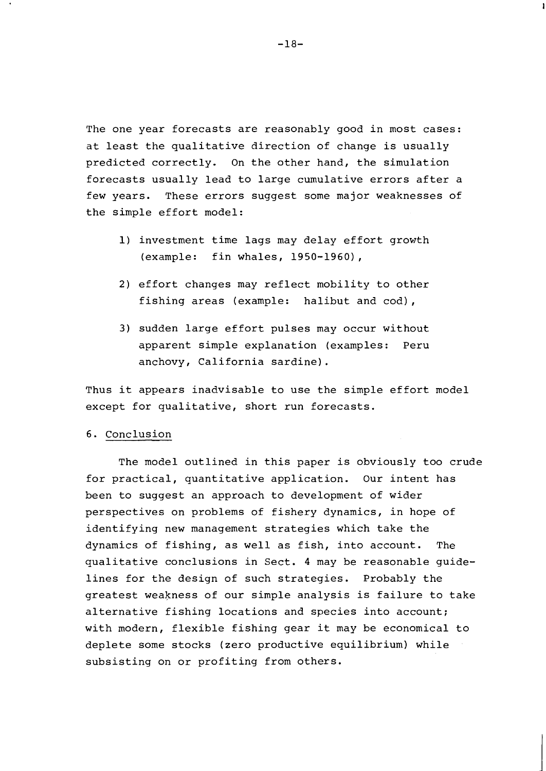The one year forecasts are reasonably good in most cases: at least the qualitative direction of change is usually predicted correctly. On the other hand, the simulation forecasts usually lead to large cumulative errors after a few years. These errors suggest some major weaknesses of the simple effort model:

- 1) investment time lags may delay effort growth (example: fin whales, 1950-1960),
- 2) effort changes may reflect mobility to other fishing areas (example: halibut and cod),
- 3) sudden large effort pulses may occur without apparent simple explanation (examples: Peru anchovy, California sardine).

Thus it appears inadvisable to use the simple effort model except for qualitative, short run forecasts.

#### 6. Conclusion

The model outlined in this paper is obviously too crude for practical, quantitative application. Our intent has been to suggest an approach to development of wider perspectives on problems of fishery dynamics, in hope of identifying new management strategies which take the dynamics of fishing, as well as fish, into account. The qualitative conclusions in Sect. 4 may be reasonable guidelines for the design of such strategies. Probably the greatest weakness of our simple analysis is failure to take alternative fishing locations and species into account; with modern, flexible fishing gear it may be economical to deplete some stocks (zero productive equilibrium) while subsisting on or profiting from others.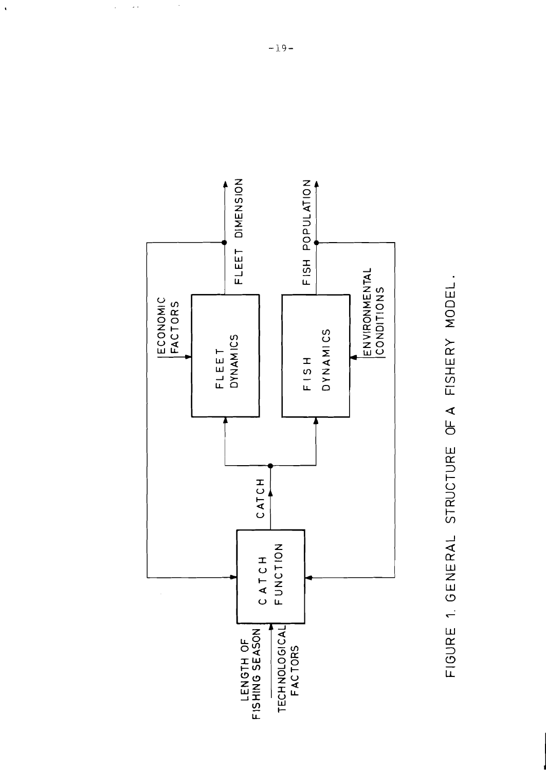



 $\frac{1}{2}$ 

 $\ddot{\phantom{0}}$ 

 $\mathbb{R}^2$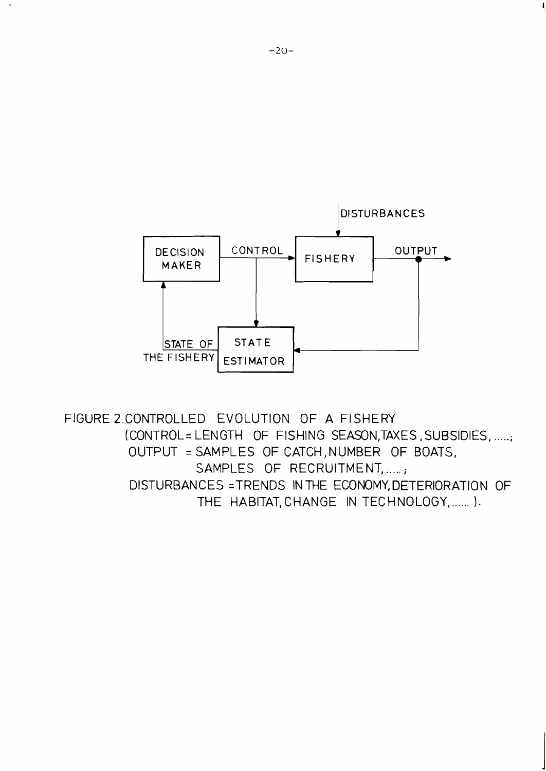

FIGURE 2.CONTROLLED EVOLUTION OF A FISHERY (CONTROL= LENGTH OF FISHING SEASON,TAXES , SUBSIDIES, .....; OUTPUT = SAMPLES OF CATCH, NUMBER OF BOATS, SAMPLES OF RECRUITMENT, .....; DISTURBANCES = TRENDS IN THE ECONOMY, DETERIORATION OF THE HABITAT, CHANGE IN TECHNOLOGY, .......).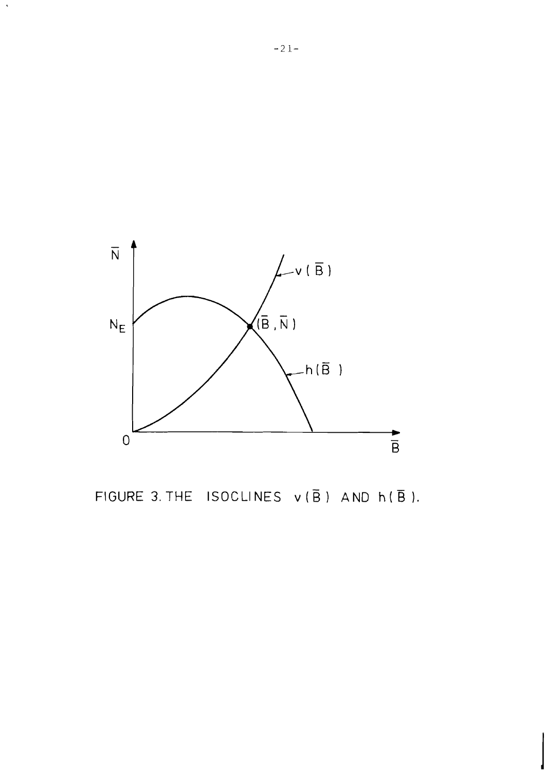

FIGURE 3. THE ISOCLINES  $v(\overline{B})$  AND  $h(\overline{B})$ .

 $\langle \rangle$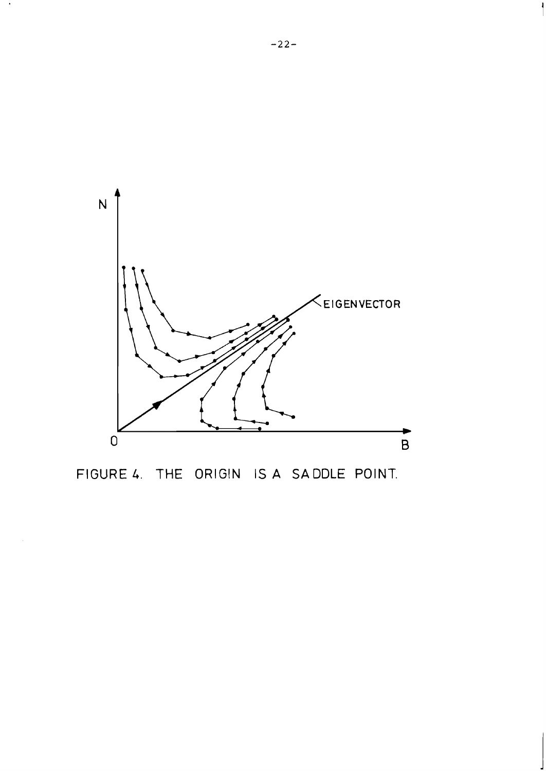

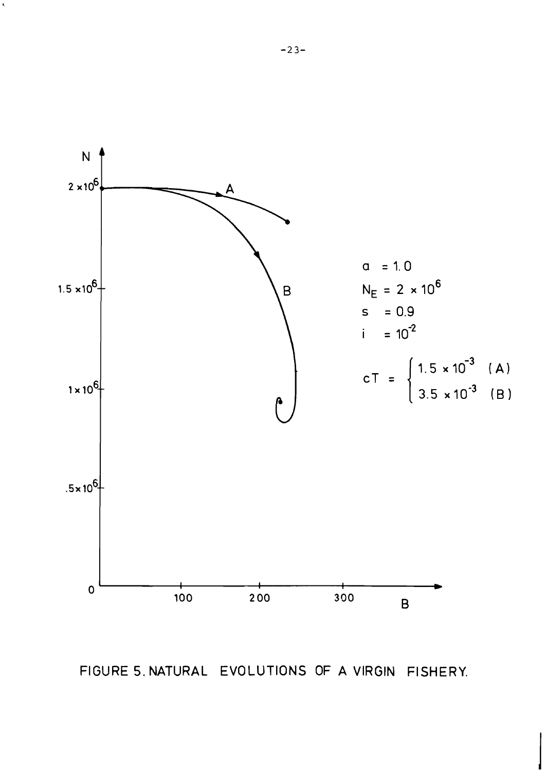

FIGURE 5. NATURAL EVOLUTIONS OF A VIRGIN FISHERY,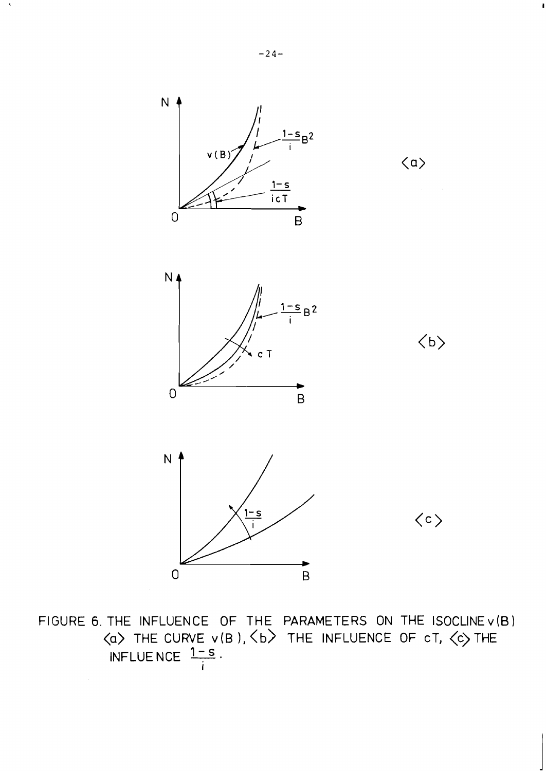

FIGURE 6. THE INFLUENCE OF THE PARAMETERS ON THE ISOCLINEv(B) <a> THE CURVE v(B ), <b> THE INFLUENCE OF cT, <c> THE INFLUENCE  $1-S$ **I**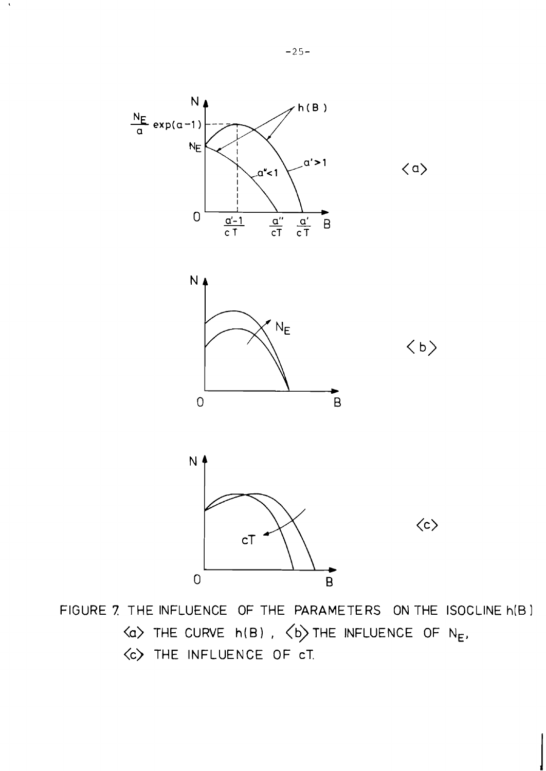

FIGURE 7 THE INFLUENCE OF THE PARAMETERS ON THE ISOCLINE h(B 1 **<a>** THE CURVE h(B) , **(b)** THE INFLUENCE OF NE, <c> THE INFLUENCE OF cT.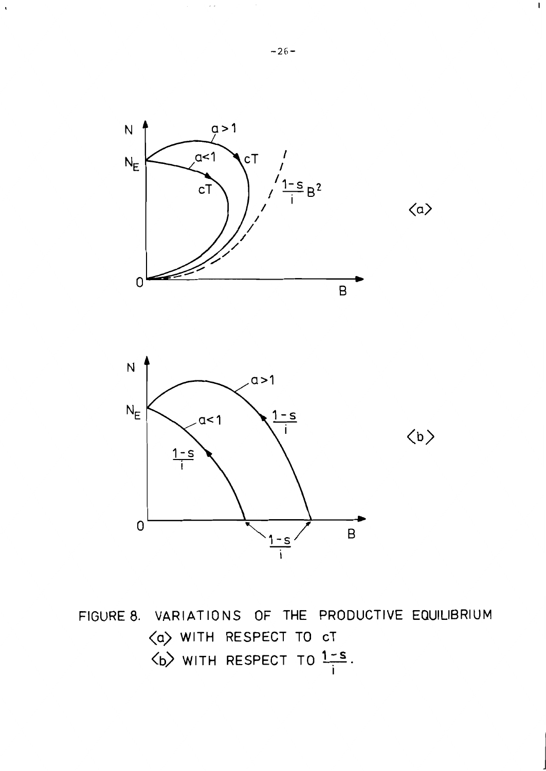

FIGURE 8. VARIATIONS OF THE PRODUCTIVE EQUILIBRIUM  $\langle a \rangle$  with respect to ct<br> $\langle b \rangle$  with respect to  $1-s$ .

L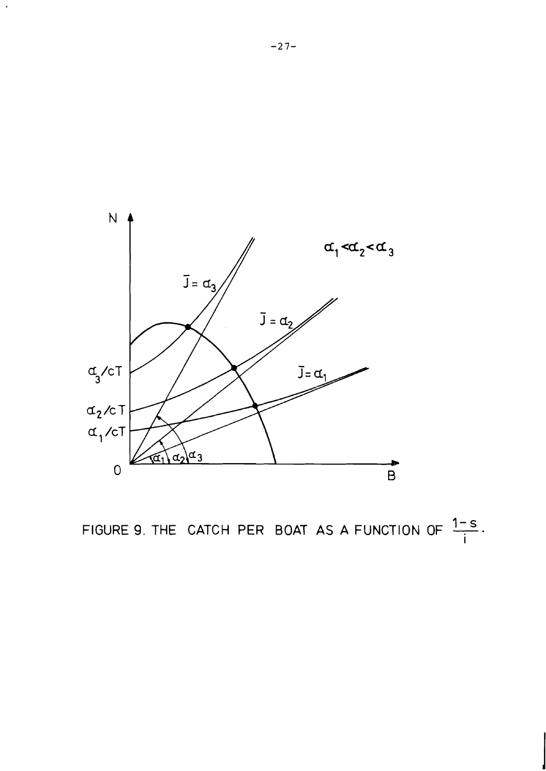

FIGURE 9. THE CATCH PER BOAT AS A FUNCTION OF  $\frac{1-s}{i}$ .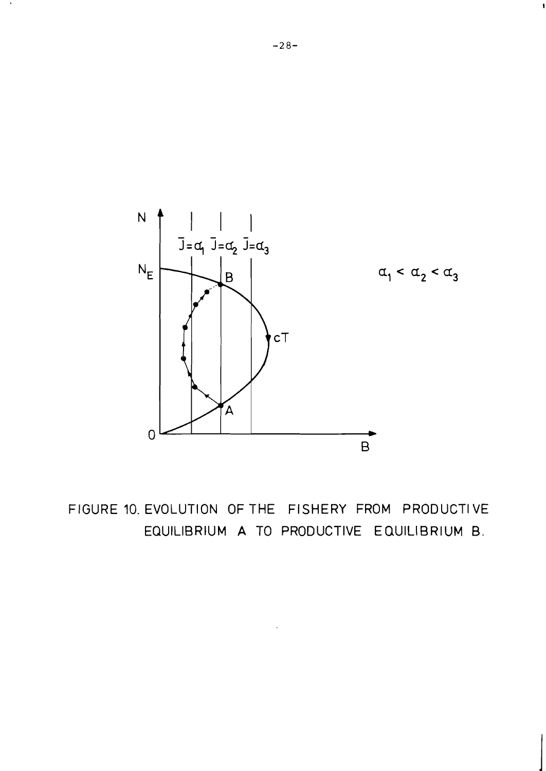

FIGURE 10. EVOLUTION OF THE FISHERY FROM PRODUCTIVE EQUILIBRIUM A TO PRODUCTIVE EQUILIBRIUM B.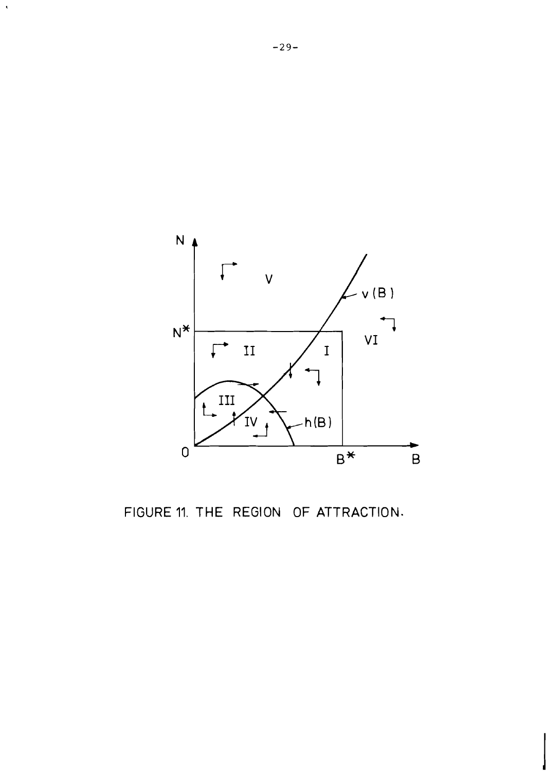

FIGURE 11. THE REGION OF ATTRACTION.

 $\langle \rangle$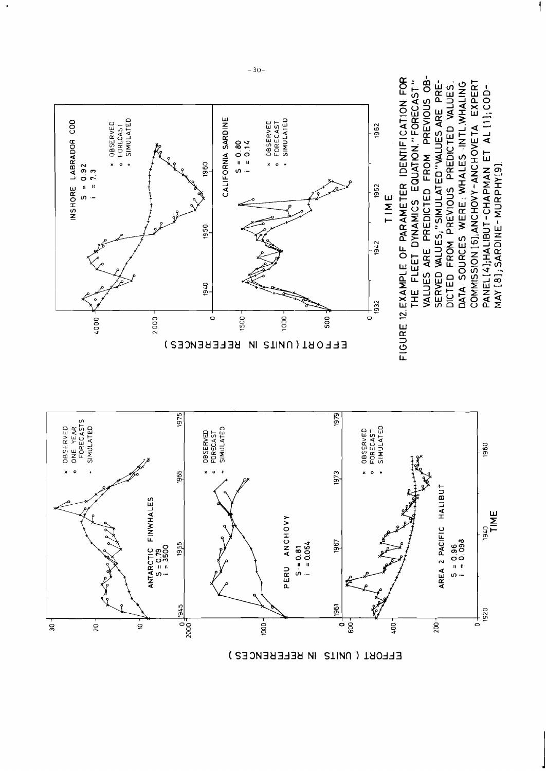

EFFORT ( UNITS IN REFERENCES )

 $-30-$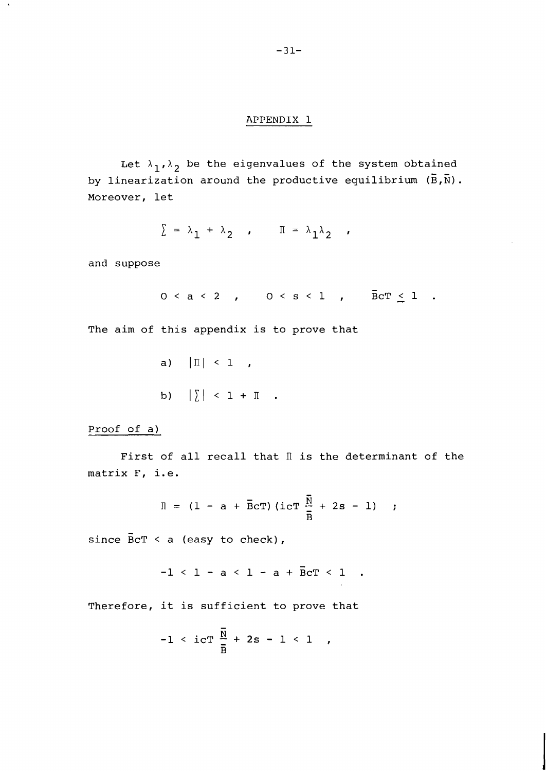#### APPENDIX 1

Let  $\lambda_1, \lambda_2$  be the eigenvalues of the system obtained  $\lambda_1, \lambda_2$  be the eigenvalues of the system obtained by linearization around the productive equilibrium  $(\bar{B}, \bar{N})$ . Moreover, let

 $\Sigma = \lambda_1 + \lambda_2$  ,  $\Pi = \lambda_1 \lambda_2$  ,

and suppose

 $0 < a < 2$  ,  $0 < s < 1$  ,  $\overline{B} \text{C} \Gamma \leq 1$  .

The aim of this appendix is to prove that

a)  $|\mathbb{I}| < 1$ , b)  $|\sum|$  < 1 +  $\prod$  .

Proof of a)

First of all recall that  $\mathbb I$  is the determinant of the matrix F, i.e.

$$
\Pi = (1 - a + \bar{B}cT) (\text{icT } \frac{\bar{N}}{\bar{B}} + 2s - 1);
$$

 $\mathbf{r}$ 

since  $\bar{B}cT < a$  (easy to check),

$$
-1 < 1 - a < 1 - a + \overline{B}cT < 1
$$
.

Therefore, it is sufficient to prove that

$$
-1 < i c
$$
**T**  $\frac{N}{B}$  + 2s - 1 < 1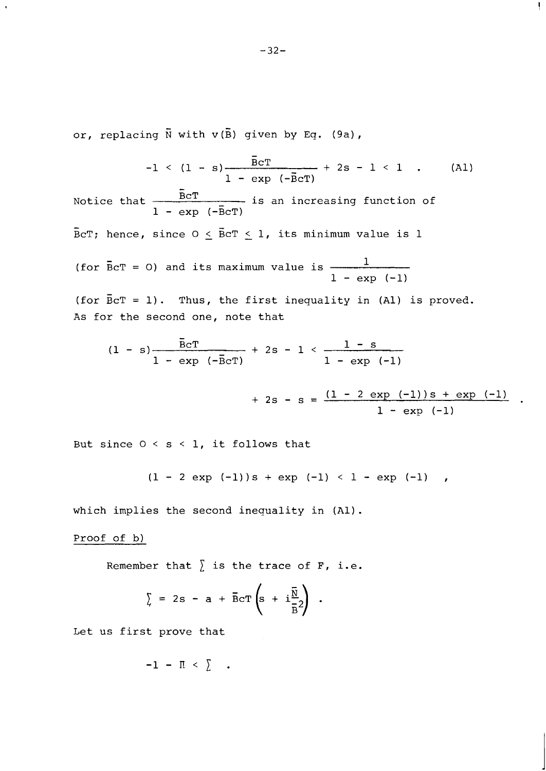or, replacing  $\overline{N}$  with  $v(\overline{B})$  given by Eq. (9a),

$$
-1 \leq (1 - s) \frac{\overline{B}cT}{1 - exp (-\overline{B}cT)}
$$
 + 2s - 1 < 1 . (Al)

ţ.

 $-1 < 1$ <br>Notice that  $\frac{5cT}{1 - exp}$  $\frac{\text{Ber}}{1}$  is an increasing function of  $1 - \exp(-\overline{B}cT)$ 

 $\overline{\texttt{B}}$ cT; hence, since O  $\leq$   $\overline{\texttt{B}}$ cT  $\leq$  1, its minimum value is l

(for  $\bar{B}cT = 0$ ) and its maximum value is  $\frac{1}{\sqrt{1-\frac{c}{c}}}$  $1 - exp (-1)$ 

(for  $\overline{B}cT = 1$ ). Thus, the first inequality in (Al) is proved. As for the second one, note that

```
\n--32--\n\neplacing 
$$
\bar{N}
$$
 with  $v(\bar{B})$  given by Eq. (9a),\n--1 < (1 - s)  \n-- $\bar{B}cT$  + 2s - 1 < 1 . (A1)\ne that  \n-- $\bar{B}cT$  is an increasing function of\nhence, since  $0 \leq \bar{B}cT \leq 1$ , its minimum value is 1\n\n $\bar{B}cT = 0$  and its maximum value is  $\frac{1}{1 - \exp(-1)}$ \n\n $\bar{B}cT = 1$ . Thus, the first inequality in (A1) is proved.\nr the second one, note that\n(1 - s)  \n-- $\bar{B}cT$  + 2s - 1 <  $\frac{1 - s}{1 - \exp(-1)}$ \n+ 2s - s =  $\frac{(1 - 2 \exp(-1))s + \exp(-1)}{1 - \exp(-1)}$ \n\nSince  $0 < s < 1$ , it follows that\n(1 - 2 exp (-1))s + exp (-1) < 1 - exp (-1) ,\n\nimplies the second inequality in (A1).\n
```

But since  $0 < s < 1$ , it follows that

$$
(1 - 2 \exp (-1))s + \exp (-1) < 1 - \exp (-1)
$$

which implies the second inequality in (Al).

## Proof of b)

Remember that  $\sum$  is the trace of F, i.e.

$$
\sum_{\alpha} = 2s - a + \overline{B}cT \left(s + i \frac{\overline{N}}{\overline{B}} 2\right).
$$

Let us first prove that

$$
-1 - \Pi < \sum \ldots
$$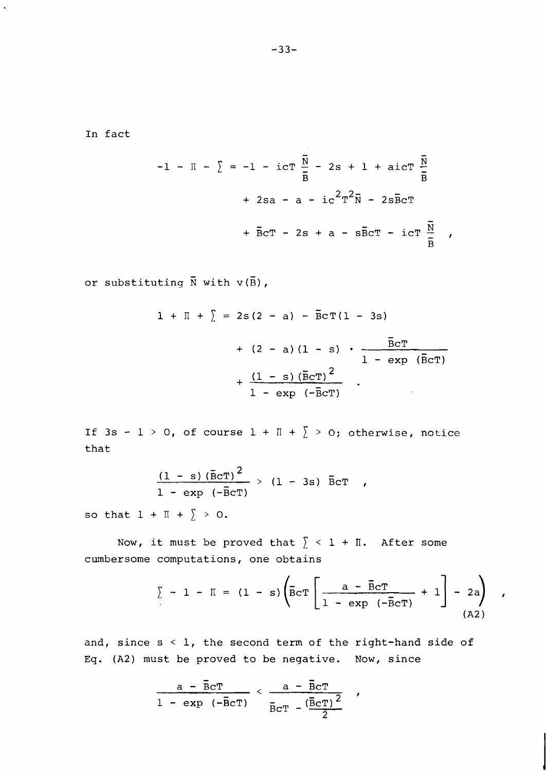In fact

$$
-1 - \Pi - \sum = -1 - i c T \frac{\overline{N}}{\overline{B}} - 2s + 1 + a i c T \frac{\overline{N}}{\overline{B}}
$$
  
+ 2sa - a - i c<sup>2</sup>T<sup>2</sup> $\overline{N}$  - 2s $\overline{B}$ cT  
+  $\overline{B}$ cT - 2s + a - s $\overline{B}$ cT - i cT  $\frac{\overline{N}}{\overline{B}}$ ,

or substituting  $\bar{N}$  with  $v(\bar{B})$ ,

$$
1 + \Pi + \sum = 2s(2 - a) - \overline{B}cT(1 - 3s)
$$
  
+ (2 - a) (1 - s)  $\cdot \frac{\overline{B}cT}{1 - \exp(\overline{B}cT)}$   
+  $\frac{(1 - s) (\overline{B}cT)^{2}}{1 - \exp(-\overline{B}cT)}$ 

If 3s - 1 > 0, of course 1 +  $\mathbb{I}$  +  $\sum$  > 0; otherwise, notice that

$$
\frac{(1 - s) (\bar{B}cT)^2}{1 - \exp (-\bar{B}cT)} > (1 - 3s) \bar{B}cT ,
$$

so that  $1 + \mathbb{I} + \sum > 0$ .

Now, it must be proved that  $\sum$  < 1 +  $\prod$ . After some cumbersome computations, one obtains

$$
\sum - 1 - \Pi = (1 - s) \left( \overline{B} \text{CT} \left[ \frac{a - \overline{B} \text{CT}}{1 - \exp (-\overline{B} \text{CT})} + 1 \right] - 2a \right)
$$
\n(A2)

 $\pmb{r}$ 

and, since  $s < 1$ , the second term of the right-hand side of Eq. (A2) must be proved to be negative. Now, since

$$
\frac{a - \bar{B}cT}{1 - \exp (-\bar{B}cT)} < \frac{a - \bar{B}cT}{\bar{B}cT - (\frac{\bar{B}cT)^{2}}{2}}
$$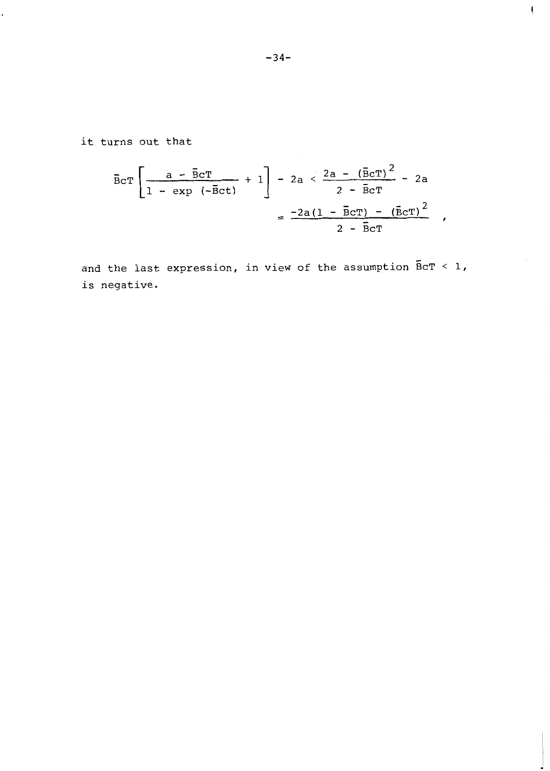**it turns out that** 

$$
\overline{B}cT\left[\frac{a - \overline{B}cT}{1 - \exp(-\overline{B}ct)} + 1\right] - 2a < \frac{2a - (\overline{B}cT)^{2}}{2 - \overline{B}cT} - 2a
$$

$$
= \frac{-2a(1 - \overline{B}cT) - (\overline{B}cT)^{2}}{2 - \overline{B}cT},
$$

**and the last expression, in view of the assumption BCT** < **1, is negative.** 

 $\mathbf{I}$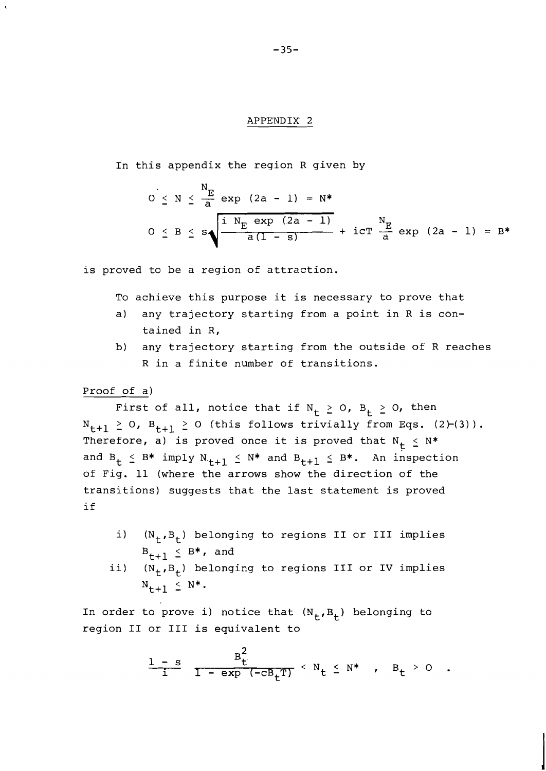#### APPENDIX 2

In this appendix the region R given by  
\n
$$
0 \le N \le \frac{N_E}{a} \exp (2a - 1) = N^*
$$
\n
$$
0 \le B \le s \sqrt{\frac{i N_E \exp (2a - 1)}{a(1 - s)}} + i cT \frac{N_E}{a} \exp (2a - 1) = B^*
$$

is proved to be a region of attraction.

To achieve this purpose it is necessary to prove that

- a) any trajectory starting from a point in R is contained in R,
- b) any trajectory starting from the outside of R reaches R in a finite number of transitions.

# Proof of a)

First of all, notice that if  $N_t \ge 0$ ,  $B_t \ge 0$ , then  $N_{t+1} \geq 0$ ,  $B_{t+1} \geq 0$  (this follows trivially from Eqs. (2)-(3)). Therefore, a) is proved once it is proved that  $N_t \leq N^*$ and  $B_t \leq B^*$  imply  $N_{t+1} \leq N^*$  and  $B_{t+1} \leq B^*$ . An inspection of Fig. 11 (where the arrows show the direction of the transitions) suggests that the last statement is proved if

- i)  $(N_t, B_t)$  belonging to regions II or III implies  $B_{++1} \leq B^*$ , and
- ii)  $(N_t, B_t)$  belonging to regions III or IV implies  $N_{t+1} \leq N^*$ .

In order to prove i) notice that  $(N_{+},B_{+})$  belonging to region I1 or I11 is equivalent to

to prove i) notice that 
$$
(N_t, B_t)
$$
 belonging to  
or III is equivalent to  

$$
\frac{1-s}{1} \frac{B_t^2}{1-\exp(-cB_t^T)} < N_t \le N^* , B_t > 0 .
$$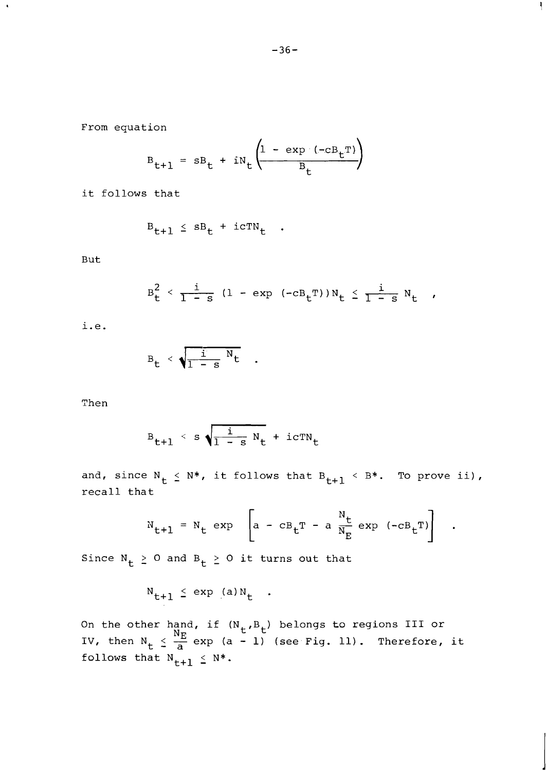Ł

From equation

$$
B_{t+1} = sB_t + iN_t \left( \frac{1 - \exp(-cB_t)^T}{B_t} \right)
$$

it follows that

$$
B_{t+1} \leq sB_t + i cTN_t
$$

But

 $\mathbf{A}$ 

$$
B_t^2 < \frac{i}{1-s} (1 - \exp(-c B_t T)) N_t \leq \frac{i}{1-s} N_t ,
$$

i.e.

$$
B_t < \sqrt{\frac{i}{1-s} N_t}
$$

Then

$$
B_{t+1} < s \sqrt{\frac{i}{1-s} N_t} + i c T N_t
$$

and, since  $N_t \le N^*$ , it follows that  $B_{t+1} < B^*$ . To prove ii), recall that

$$
N_{t+1} = N_t \exp \left[a - cB_t T - a \frac{N_t}{N_E} \exp (-cB_t T) \right].
$$

Since  $N_t \ge 0$  and  $B_t \ge 0$  it turns out that

$$
N_{t+1} \le \exp(a)N_t
$$
.

On the other hand, if  $(N_t, B_t)$  belongs to regions III or On the other hand, if  $(N_t, B_t)$  belongs to regions III or<br>IV, then  $N_t \leq \frac{N_E}{a}$  exp (a - 1) (see Fig. 11). Therefore, it follows that  $N_{t+1} \leq N^*$ .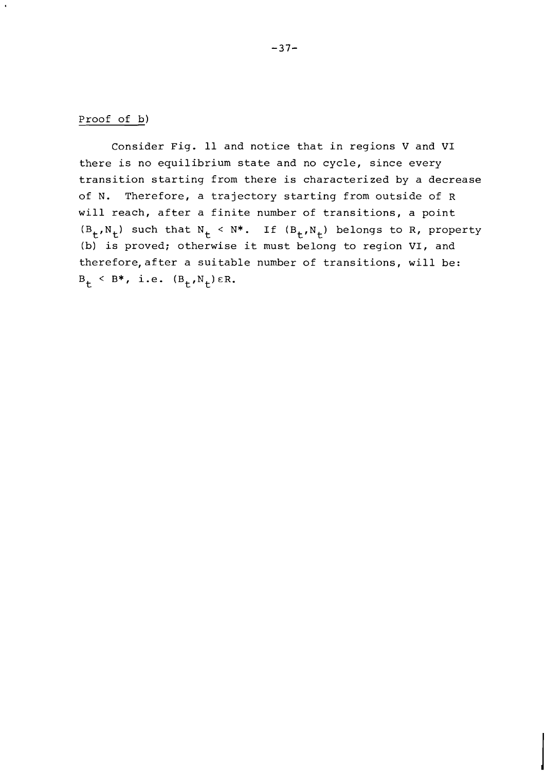# Proof of **b)**

Consider Fig. 11 and notice that in regions V and VI there is no equilibrium state and no cycle, since every transition starting from there is characterized by a decrease of N. Therefore, a trajectory starting from outside of R will reach, after a finite number of transitions, a point  $(B_t, N_t)$  such that  $N_t < N^*$ . If  $(B_t, N_t)$  belongs to R, property (b) is proved; otherwise it must belong to region VI, and therefore, after a suitable number of transitions, will be:  $B_t \leq B^*$ , i.e.  $(B_t, N_t) \in R$ .